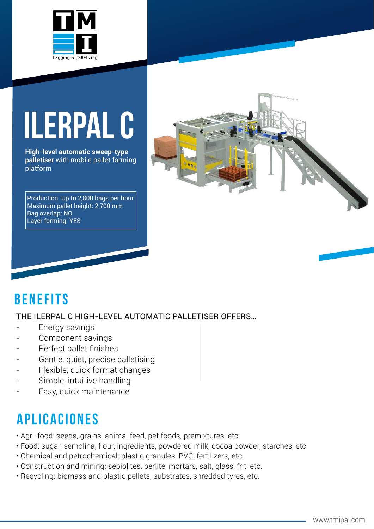

# **ILERPAL C**

**High-level automatic sweep-type palletiser** with mobile pallet forming platform

Production: Up to 2,800 bags per hour Maximum pallet height: 2,700 mm Bag overlap: NO Layer forming: YES



### **BenefITs**

#### THE ILERPAL C HIGH-LEVEL AUTOMATIC PALLETISER OFFERS…

- Energy savings
- Component savings
- Perfect pallet finishes
- Gentle, quiet, precise palletising
- Flexible, quick format changes
- Simple, intuitive handling
- Easy, quick maintenance

## **aplicaciones**

- Agri-food: seeds, grains, animal feed, pet foods, premixtures, etc.
- Food: sugar, semolina, flour, ingredients, powdered milk, cocoa powder, starches, etc.
- Chemical and petrochemical: plastic granules, PVC, fertilizers, etc.
- Construction and mining: sepiolites, perlite, mortars, salt, glass, frit, etc.
- Recycling: biomass and plastic pellets, substrates, shredded tyres, etc.